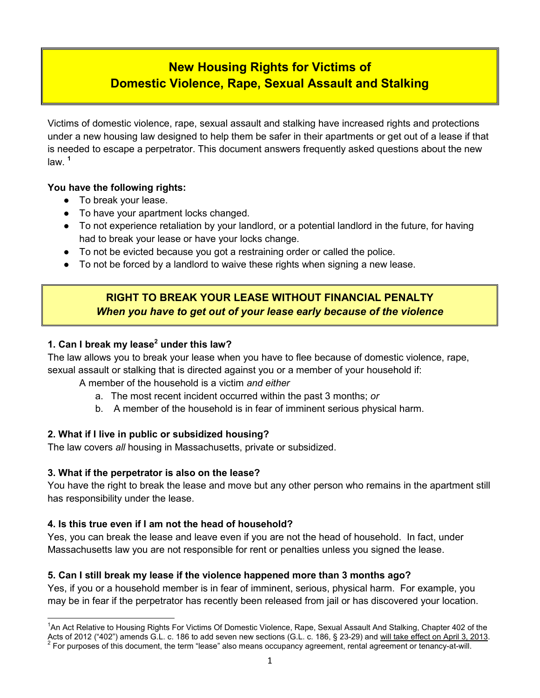# **New Housing Rights for Victims of Domestic Violence, Rape, Sexual Assault and Stalking**

Victims of domestic violence, rape, sexual assault and stalking have increased rights and protections under a new housing law designed to help them be safer in their apartments or get out of a lease if that is needed to escape a perpetrator. This document answers frequently asked questions about the new law. **<sup>1</sup>**

#### **You have the following rights:**

- To break your lease.
- To have your apartment locks changed.
- To not experience retaliation by your landlord, or a potential landlord in the future, for having had to break your lease or have your locks change.
- To not be evicted because you got a restraining order or called the police.
- To not be forced by a landlord to waive these rights when signing a new lease.

# **RIGHT TO BREAK YOUR LEASE WITHOUT FINANCIAL PENALTY** *When you have to get out of your lease early because of the violence*

## **1. Can I break my lease<sup>2</sup> under this law?**

The law allows you to break your lease when you have to flee because of domestic violence, rape, sexual assault or stalking that is directed against you or a member of your household if:

A member of the household is a victim *and either*

- a. The most recent incident occurred within the past 3 months; *or*
- b. A member of the household is in fear of imminent serious physical harm.

#### **2. What if I live in public or subsidized housing?**

The law covers *all* housing in Massachusetts, private or subsidized.

#### **3. What if the perpetrator is also on the lease?**

 $\overline{a}$ 

You have the right to break the lease and move but any other person who remains in the apartment still has responsibility under the lease.

#### **4. Is this true even if I am not the head of household?**

Yes, you can break the lease and leave even if you are not the head of household. In fact, under Massachusetts law you are not responsible for rent or penalties unless you signed the lease.

#### **5. Can I still break my lease if the violence happened more than 3 months ago?**

Yes, if you or a household member is in fear of imminent, serious, physical harm. For example, you may be in fear if the perpetrator has recently been released from jail or has discovered your location.

<sup>&</sup>lt;sup>1</sup>An Act Relative to Housing Rights For Victims Of Domestic Violence, Rape, Sexual Assault And Stalking, Chapter 402 of the Acts of 2012 ("402") amends G.L. c. 186 to add seven new sections (G.L. c. 186, § 23-29) and <u>will take effect on April 3, 2013</u>.<br><sup>2</sup> For purposes of this document, the term "lease" also means occupancy agreement, rental a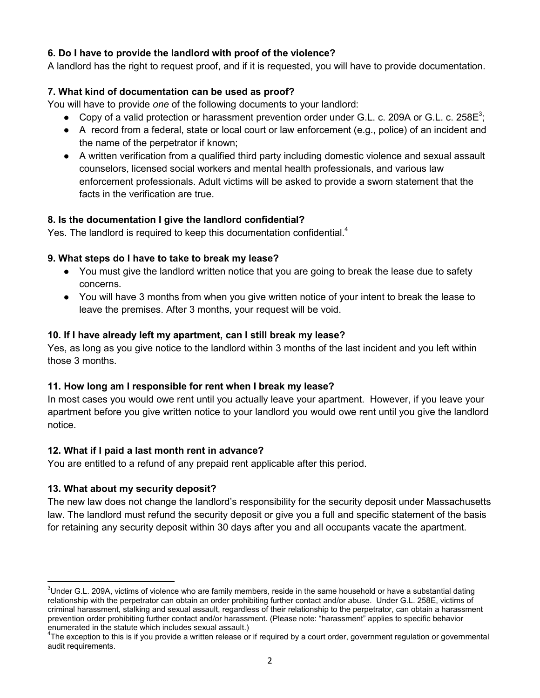#### **6. Do I have to provide the landlord with proof of the violence?**

A landlord has the right to request proof, and if it is requested, you will have to provide documentation.

#### **7. What kind of documentation can be used as proof?**

You will have to provide *one* of the following documents to your landlord:

- Copy of a valid protection or harassment prevention order under G.L. c. 209A or G.L. c. 258 $E^3$ ;
- A record from a federal, state or local court or law enforcement (e.g., police) of an incident and the name of the perpetrator if known;
- A written verification from a qualified third party including domestic violence and sexual assault counselors, licensed social workers and mental health professionals, and various law enforcement professionals. Adult victims will be asked to provide a sworn statement that the facts in the verification are true.

#### **8. Is the documentation I give the landlord confidential?**

Yes. The landlord is required to keep this documentation confidential.<sup>4</sup>

#### **9. What steps do I have to take to break my lease?**

- You must give the landlord written notice that you are going to break the lease due to safety concerns.
- You will have 3 months from when you give written notice of your intent to break the lease to leave the premises. After 3 months, your request will be void.

#### **10. If I have already left my apartment, can I still break my lease?**

Yes, as long as you give notice to the landlord within 3 months of the last incident and you left within those 3 months.

#### **11. How long am I responsible for rent when I break my lease?**

In most cases you would owe rent until you actually leave your apartment. However, if you leave your apartment before you give written notice to your landlord you would owe rent until you give the landlord notice.

#### **12. What if I paid a last month rent in advance?**

You are entitled to a refund of any prepaid rent applicable after this period.

#### **13. What about my security deposit?**

 $\overline{a}$ 

The new law does not change the landlord's responsibility for the security deposit under Massachusetts law. The landlord must refund the security deposit or give you a full and specific statement of the basis for retaining any security deposit within 30 days after you and all occupants vacate the apartment.

 $3$ Under G.L. 209A, victims of violence who are family members, reside in the same household or have a substantial dating relationship with the perpetrator can obtain an order prohibiting further contact and/or abuse. Under G.L. 258E, victims of criminal harassment, stalking and sexual assault, regardless of their relationship to the perpetrator, can obtain a harassment prevention order prohibiting further contact and/or harassment. (Please note: "harassment" applies to specific behavior enumerated in the statute which includes sexual assault.)

<sup>&</sup>lt;sup>4</sup>The exception to this is if you provide a written release or if required by a court order, government regulation or governmental audit requirements.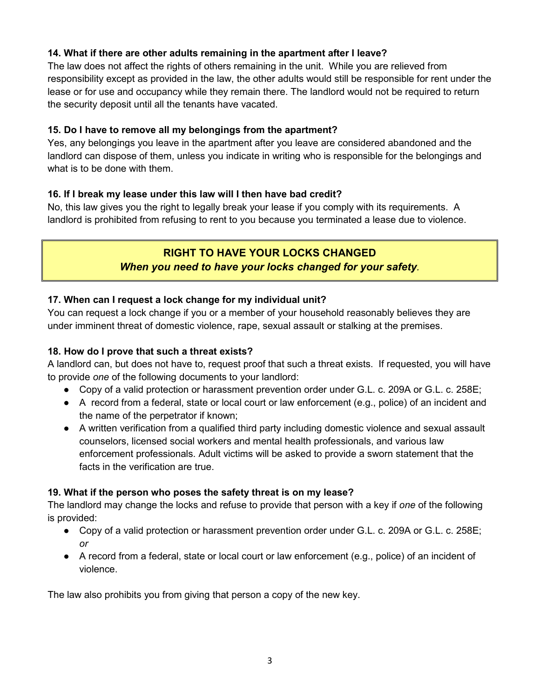## **14. What if there are other adults remaining in the apartment after I leave?**

The law does not affect the rights of others remaining in the unit. While you are relieved from responsibility except as provided in the law, the other adults would still be responsible for rent under the lease or for use and occupancy while they remain there. The landlord would not be required to return the security deposit until all the tenants have vacated.

## **15. Do I have to remove all my belongings from the apartment?**

Yes, any belongings you leave in the apartment after you leave are considered abandoned and the landlord can dispose of them, unless you indicate in writing who is responsible for the belongings and what is to be done with them.

## **16. If I break my lease under this law will I then have bad credit?**

No, this law gives you the right to legally break your lease if you comply with its requirements. A landlord is prohibited from refusing to rent to you because you terminated a lease due to violence.

# **RIGHT TO HAVE YOUR LOCKS CHANGED** *When you need to have your locks changed for your safety.*

## **17. When can I request a lock change for my individual unit?**

You can request a lock change if you or a member of your household reasonably believes they are under imminent threat of domestic violence, rape, sexual assault or stalking at the premises.

## **18. How do I prove that such a threat exists?**

A landlord can, but does not have to, request proof that such a threat exists. If requested, you will have to provide *one* of the following documents to your landlord:

- Copy of a valid protection or harassment prevention order under G.L. c. 209A or G.L. c. 258E;
- A record from a federal, state or local court or law enforcement (e.g., police) of an incident and the name of the perpetrator if known;
- A written verification from a qualified third party including domestic violence and sexual assault counselors, licensed social workers and mental health professionals, and various law enforcement professionals. Adult victims will be asked to provide a sworn statement that the facts in the verification are true.

#### **19. What if the person who poses the safety threat is on my lease?**

The landlord may change the locks and refuse to provide that person with a key if *one* of the following is provided:

- Copy of a valid protection or harassment prevention order under G.L. c. 209A or G.L. c. 258E; *or*
- A record from a federal, state or local court or law enforcement (e.g., police) of an incident of violence.

The law also prohibits you from giving that person a copy of the new key.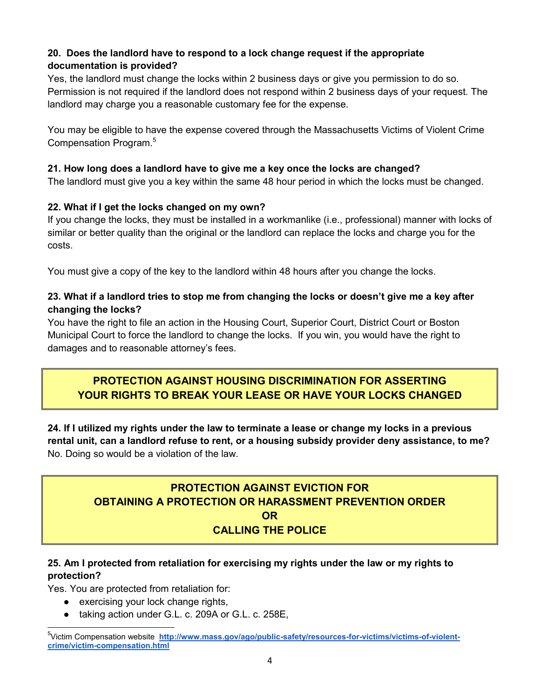## **20. Does the landlord have to respond to a lock change request if the appropriate documentation is provided?**

Yes, the landlord must change the locks within 2 business days or give you permission to do so. Permission is not required if the landlord does not respond within 2 business days of your request. The landlord may charge you a reasonable customary fee for the expense.

You may be eligible to have the expense covered through the Massachusetts Victims of Violent Crime Compensation Program.<sup>5</sup>

## **21. How long does a landlord have to give me a key once the locks are changed?**

The landlord must give you a key within the same 48 hour period in which the locks must be changed.

#### **22. What if I get the locks changed on my own?**

If you change the locks, they must be installed in a workmanlike (i.e., professional) manner with locks of similar or better quality than the original or the landlord can replace the locks and charge you for the costs.

You must give a copy of the key to the landlord within 48 hours after you change the locks.

#### **23. What if a landlord tries to stop me from changing the locks or doesn't give me a key after changing the locks?**

You have the right to file an action in the Housing Court, Superior Court, District Court or Boston Municipal Court to force the landlord to change the locks. If you win, you would have the right to damages and to reasonable attorney's fees.

# **PROTECTION AGAINST HOUSING DISCRIMINATION FOR ASSERTING YOUR RIGHTS TO BREAK YOUR LEASE OR HAVE YOUR LOCKS CHANGED**

**24. If I utilized my rights under the law to terminate a lease or change my locks in a previous rental unit, can a landlord refuse to rent, or a housing subsidy provider deny assistance, to me?**  No. Doing so would be a violation of the law.

# **PROTECTION AGAINST EVICTION FOR OBTAINING A PROTECTION OR HARASSMENT PREVENTION ORDER OR CALLING THE POLICE**

## **25. Am I protected from retaliation for exercising my rights under the law or my rights to protection?**

Yes. You are protected from retaliation for:

 $\overline{a}$ 

- exercising your lock change rights,
- taking action under G.L. c. 209A or G.L. c. 258E,

<sup>&</sup>lt;sup>5</sup>Victim Compensation website http://www.mass.gov/ago/public-safety/resources-for-victims/victims-of-violent**crime/victim-compensation.html**